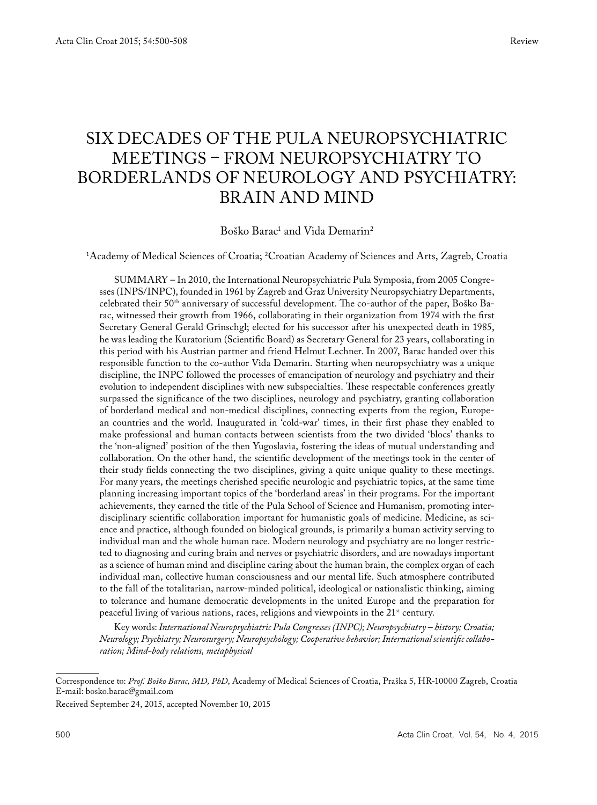# Six decades of the Pula Neuropsychiatric meetings – From Neuropsychiatry to borderlands of Neurology and Psychiatry: BRAIN AND MIND

Boško Barac<sup>1</sup> and Vida Demarin<sup>2</sup>

1 Academy of Medical Sciences of Croatia; 2 Croatian Academy of Sciences and Arts, Zagreb, Croatia

SUMMARY – In 2010, the International Neuropsychiatric Pula Symposia, from 2005 Congresses (INPS/INPC), founded in 1961 by Zagreb and Graz University Neuropsychiatry Departments, celebrated their 50th anniversary of successful development. The co-author of the paper, Boško Barac, witnessed their growth from 1966, collaborating in their organization from 1974 with the first Secretary General Gerald Grinschgl; elected for his successor after his unexpected death in 1985, he was leading the Kuratorium (Scientific Board) as Secretary General for 23 years, collaborating in this period with his Austrian partner and friend Helmut Lechner. In 2007, Barac handed over this responsible function to the co-author Vida Demarin. Starting when neuropsychiatry was a unique discipline, the INPC followed the processes of emancipation of neurology and psychiatry and their evolution to independent disciplines with new subspecialties. These respectable conferences greatly surpassed the significance of the two disciplines, neurology and psychiatry, granting collaboration of borderland medical and non-medical disciplines, connecting experts from the region, European countries and the world. Inaugurated in 'cold-war' times, in their first phase they enabled to make professional and human contacts between scientists from the two divided 'blocs' thanks to the 'non-aligned' position of the then Yugoslavia, fostering the ideas of mutual understanding and collaboration. On the other hand, the scientific development of the meetings took in the center of their study fields connecting the two disciplines, giving a quite unique quality to these meetings. For many years, the meetings cherished specific neurologic and psychiatric topics, at the same time planning increasing important topics of the 'borderland areas' in their programs. For the important achievements, they earned the title of the Pula School of Science and Humanism, promoting interdisciplinary scientific collaboration important for humanistic goals of medicine. Medicine, as science and practice, although founded on biological grounds, is primarily a human activity serving to individual man and the whole human race. Modern neurology and psychiatry are no longer restricted to diagnosing and curing brain and nerves or psychiatric disorders, and are nowadays important as a science of human mind and discipline caring about the human brain, the complex organ of each individual man, collective human consciousness and our mental life. Such atmosphere contributed to the fall of the totalitarian, narrow-minded political, ideological or nationalistic thinking, aiming to tolerance and humane democratic developments in the united Europe and the preparation for peaceful living of various nations, races, religions and viewpoints in the 21<sup>st</sup> century.

Key words:*International Neuropsychiatric Pula Congresses (INPC); Neuropsychiatry – history; Croatia; Neurology; Psychiatry; Neurosurgery; Neuropsychology; Cooperative behavior; International scientific collaboration; Mind-body relations, metaphysical*

Received September 24, 2015, accepted November 10, 2015

Correspondence to: *Prof. Boško Barac, MD, PhD*, Academy of Medical Sciences of Croatia, Praška 5, HR-10000 Zagreb, Croatia E-mail: bosko.barac@gmail.com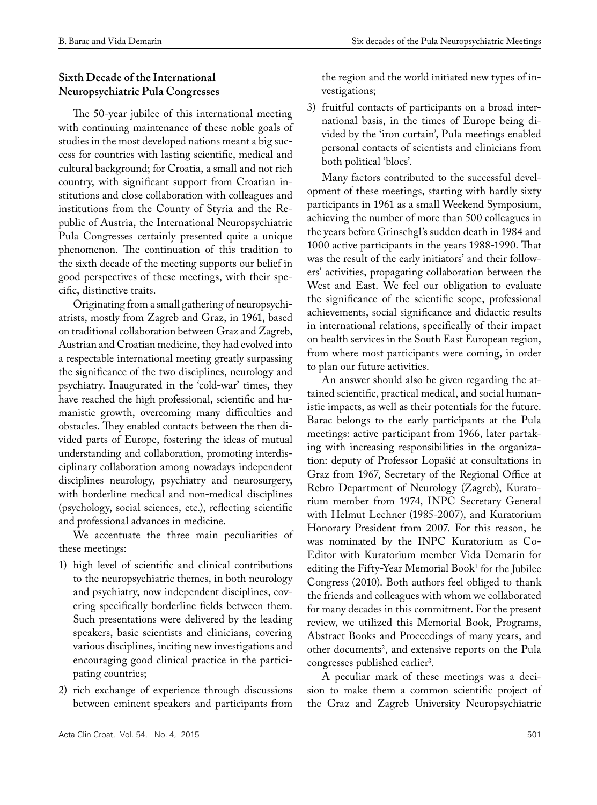## **Sixth Decade of the International Neuropsychiatric Pula Congresses**

The 50-year jubilee of this international meeting with continuing maintenance of these noble goals of studies in the most developed nations meant a big success for countries with lasting scientific, medical and cultural background; for Croatia, a small and not rich country, with significant support from Croatian institutions and close collaboration with colleagues and institutions from the County of Styria and the Republic of Austria, the International Neuropsychiatric Pula Congresses certainly presented quite a unique phenomenon. The continuation of this tradition to the sixth decade of the meeting supports our belief in good perspectives of these meetings, with their specific, distinctive traits.

Originating from a small gathering of neuropsychiatrists, mostly from Zagreb and Graz, in 1961, based on traditional collaboration between Graz and Zagreb, Austrian and Croatian medicine, they had evolved into a respectable international meeting greatly surpassing the significance of the two disciplines, neurology and psychiatry. Inaugurated in the 'cold-war' times, they have reached the high professional, scientific and humanistic growth, overcoming many difficulties and obstacles. They enabled contacts between the then divided parts of Europe, fostering the ideas of mutual understanding and collaboration, promoting interdisciplinary collaboration among nowadays independent disciplines neurology, psychiatry and neurosurgery, with borderline medical and non-medical disciplines (psychology, social sciences, etc.), reflecting scientific and professional advances in medicine.

We accentuate the three main peculiarities of these meetings:

- 1) high level of scientific and clinical contributions to the neuropsychiatric themes, in both neurology and psychiatry, now independent disciplines, covering specifically borderline fields between them. Such presentations were delivered by the leading speakers, basic scientists and clinicians, covering various disciplines, inciting new investigations and encouraging good clinical practice in the participating countries;
- 2) rich exchange of experience through discussions between eminent speakers and participants from

the region and the world initiated new types of investigations;

3) fruitful contacts of participants on a broad international basis, in the times of Europe being divided by the 'iron curtain', Pula meetings enabled personal contacts of scientists and clinicians from both political 'blocs'.

Many factors contributed to the successful development of these meetings, starting with hardly sixty participants in 1961 as a small Weekend Symposium, achieving the number of more than 500 colleagues in the years before Grinschgl's sudden death in 1984 and 1000 active participants in the years 1988-1990. That was the result of the early initiators' and their followers' activities, propagating collaboration between the West and East. We feel our obligation to evaluate the significance of the scientific scope, professional achievements, social significance and didactic results in international relations, specifically of their impact on health services in the South East European region, from where most participants were coming, in order to plan our future activities.

An answer should also be given regarding the attained scientific, practical medical, and social humanistic impacts, as well as their potentials for the future. Barac belongs to the early participants at the Pula meetings: active participant from 1966, later partaking with increasing responsibilities in the organization: deputy of Professor Lopašić at consultations in Graz from 1967, Secretary of the Regional Office at Rebro Department of Neurology (Zagreb), Kuratorium member from 1974, INPC Secretary General with Helmut Lechner (1985-2007), and Kuratorium Honorary President from 2007. For this reason, he was nominated by the INPC Kuratorium as Co-Editor with Kuratorium member Vida Demarin for editing the Fifty-Year Memorial Book<sup>1</sup> for the Jubilee Congress (2010). Both authors feel obliged to thank the friends and colleagues with whom we collaborated for many decades in this commitment. For the present review, we utilized this Memorial Book, Programs, Abstract Books and Proceedings of many years, and other documents<sup>2</sup>, and extensive reports on the Pula congresses published earlier<sup>3</sup>.

A peculiar mark of these meetings was a decision to make them a common scientific project of the Graz and Zagreb University Neuropsychiatric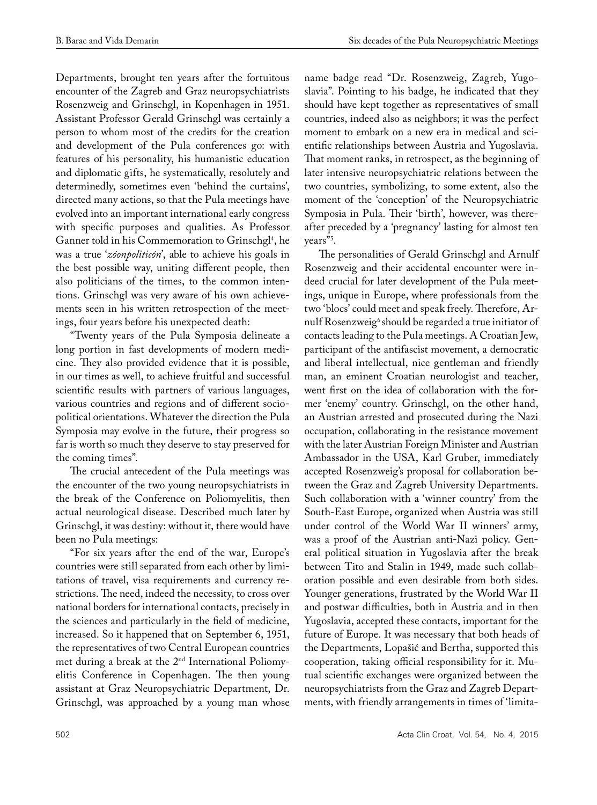Departments, brought ten years after the fortuitous encounter of the Zagreb and Graz neuropsychiatrists Rosenzweig and Grinschgl, in Kopenhagen in 1951. Assistant Professor Gerald Grinschgl was certainly a person to whom most of the credits for the creation and development of the Pula conferences go: with features of his personality, his humanistic education and diplomatic gifts, he systematically, resolutely and determinedly, sometimes even 'behind the curtains', directed many actions, so that the Pula meetings have evolved into an important international early congress with specific purposes and qualities. As Professor Ganner told in his Commemoration to Grinschgl4 , he was a true '*zóonpoliticón*', able to achieve his goals in the best possible way, uniting different people, then also politicians of the times, to the common intentions. Grinschgl was very aware of his own achievements seen in his written retrospection of the meetings, four years before his unexpected death:

"Twenty years of the Pula Symposia delineate a long portion in fast developments of modern medicine. They also provided evidence that it is possible, in our times as well, to achieve fruitful and successful scientific results with partners of various languages, various countries and regions and of different sociopolitical orientations. Whatever the direction the Pula Symposia may evolve in the future, their progress so far is worth so much they deserve to stay preserved for the coming times".

The crucial antecedent of the Pula meetings was the encounter of the two young neuropsychiatrists in the break of the Conference on Poliomyelitis, then actual neurological disease. Described much later by Grinschgl, it was destiny: without it, there would have been no Pula meetings:

"For six years after the end of the war, Europe's countries were still separated from each other by limitations of travel, visa requirements and currency restrictions. The need, indeed the necessity, to cross over national borders for international contacts, precisely in the sciences and particularly in the field of medicine, increased. So it happened that on September 6, 1951, the representatives of two Central European countries met during a break at the 2nd International Poliomyelitis Conference in Copenhagen. The then young assistant at Graz Neuropsychiatric Department, Dr. Grinschgl, was approached by a young man whose

name badge read "Dr. Rosenzweig, Zagreb, Yugoslavia". Pointing to his badge, he indicated that they should have kept together as representatives of small countries, indeed also as neighbors; it was the perfect moment to embark on a new era in medical and scientific relationships between Austria and Yugoslavia. That moment ranks, in retrospect, as the beginning of later intensive neuropsychiatric relations between the two countries, symbolizing, to some extent, also the moment of the 'conception' of the Neuropsychiatric Symposia in Pula. Their 'birth', however, was thereafter preceded by a 'pregnancy' lasting for almost ten years"<sup>3</sup>.

The personalities of Gerald Grinschgl and Arnulf Rosenzweig and their accidental encounter were indeed crucial for later development of the Pula meetings, unique in Europe, where professionals from the two 'blocs' could meet and speak freely. Therefore, Arnulf Rosenzweig<sup>6</sup> should be regarded a true initiator of contacts leading to the Pula meetings. A Croatian Jew, participant of the antifascist movement, a democratic and liberal intellectual, nice gentleman and friendly man, an eminent Croatian neurologist and teacher, went first on the idea of collaboration with the former 'enemy' country. Grinschgl, on the other hand, an Austrian arrested and prosecuted during the Nazi occupation, collaborating in the resistance movement with the later Austrian Foreign Minister and Austrian Ambassador in the USA, Karl Gruber, immediately accepted Rosenzweig's proposal for collaboration between the Graz and Zagreb University Departments. Such collaboration with a 'winner country' from the South-East Europe, organized when Austria was still under control of the World War II winners' army, was a proof of the Austrian anti-Nazi policy. General political situation in Yugoslavia after the break between Tito and Stalin in 1949, made such collaboration possible and even desirable from both sides. Younger generations, frustrated by the World War II and postwar difficulties, both in Austria and in then Yugoslavia, accepted these contacts, important for the future of Europe. It was necessary that both heads of the Departments, Lopašić and Bertha, supported this cooperation, taking official responsibility for it. Mutual scientific exchanges were organized between the neuropsychiatrists from the Graz and Zagreb Departments, with friendly arrangements in times of 'limita-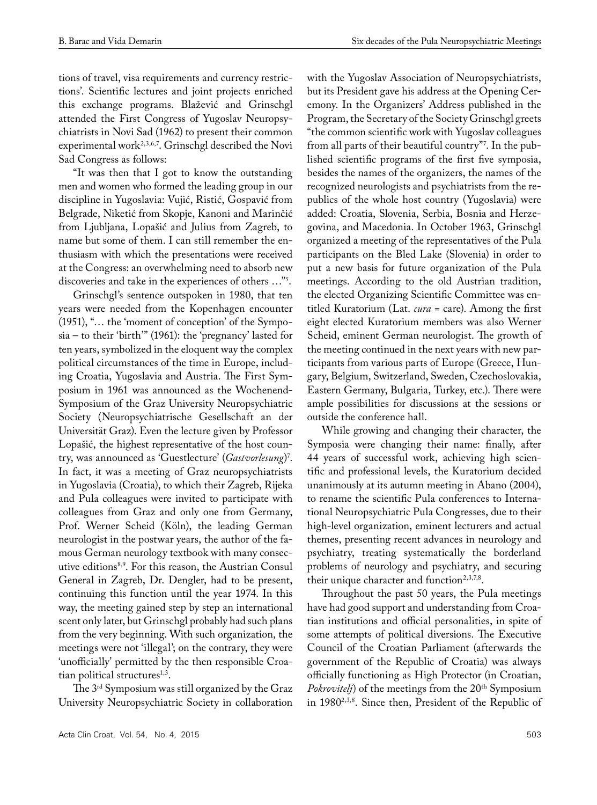tions of travel, visa requirements and currency restrictions'. Scientific lectures and joint projects enriched this exchange programs. Blažević and Grinschgl attended the First Congress of Yugoslav Neuropsychiatrists in Novi Sad (1962) to present their common experimental work<sup>2,3,6,7</sup>. Grinschgl described the Novi Sad Congress as follows:

"It was then that I got to know the outstanding men and women who formed the leading group in our discipline in Yugoslavia: Vujić, Ristić, Gospavić from Belgrade, Niketić from Skopje, Kanoni and Marinčić from Ljubljana, Lopašić and Julius from Zagreb, to name but some of them. I can still remember the enthusiasm with which the presentations were received at the Congress: an overwhelming need to absorb new discoveries and take in the experiences of others …"5 .

Grinschgl's sentence outspoken in 1980, that ten years were needed from the Kopenhagen encounter (1951), "… the 'moment of conception' of the Symposia – to their 'birth'" (1961): the 'pregnancy' lasted for ten years, symbolized in the eloquent way the complex political circumstances of the time in Europe, including Croatia, Yugoslavia and Austria. The First Symposium in 1961 was announced as the Wochenend-Symposium of the Graz University Neuropsychiatric Society (Neuropsychiatrische Gesellschaft an der Universität Graz). Even the lecture given by Professor Lopašić, the highest representative of the host country, was announced as 'Guestlecture' (*Gastvorlesung*) 7 . In fact, it was a meeting of Graz neuropsychiatrists in Yugoslavia (Croatia), to which their Zagreb, Rijeka and Pula colleagues were invited to participate with colleagues from Graz and only one from Germany, Prof. Werner Scheid (Köln), the leading German neurologist in the postwar years, the author of the famous German neurology textbook with many consecutive editions8,9. For this reason, the Austrian Consul General in Zagreb, Dr. Dengler, had to be present, continuing this function until the year 1974. In this way, the meeting gained step by step an international scent only later, but Grinschgl probably had such plans from the very beginning. With such organization, the meetings were not 'illegal'; on the contrary, they were 'unofficially' permitted by the then responsible Croatian political structures $1,3$ .

The 3rd Symposium was still organized by the Graz University Neuropsychiatric Society in collaboration

with the Yugoslav Association of Neuropsychiatrists, but its President gave his address at the Opening Ceremony. In the Organizers' Address published in the Program, the Secretary of the Society Grinschgl greets "the common scientific work with Yugoslav colleagues from all parts of their beautiful country"'. In the published scientific programs of the first five symposia, besides the names of the organizers, the names of the recognized neurologists and psychiatrists from the republics of the whole host country (Yugoslavia) were added: Croatia, Slovenia, Serbia, Bosnia and Herzegovina, and Macedonia. In October 1963, Grinschgl organized a meeting of the representatives of the Pula participants on the Bled Lake (Slovenia) in order to put a new basis for future organization of the Pula meetings. According to the old Austrian tradition, the elected Organizing Scientific Committee was entitled Kuratorium (Lat. *cura* = care). Among the first eight elected Kuratorium members was also Werner Scheid, eminent German neurologist. The growth of the meeting continued in the next years with new participants from various parts of Europe (Greece, Hungary, Belgium, Switzerland, Sweden, Czechoslovakia, Eastern Germany, Bulgaria, Turkey, etc.). There were ample possibilities for discussions at the sessions or outside the conference hall.

While growing and changing their character, the Symposia were changing their name: finally, after 44 years of successful work, achieving high scientific and professional levels, the Kuratorium decided unanimously at its autumn meeting in Abano (2004), to rename the scientific Pula conferences to International Neuropsychiatric Pula Congresses, due to their high-level organization, eminent lecturers and actual themes, presenting recent advances in neurology and psychiatry, treating systematically the borderland problems of neurology and psychiatry, and securing their unique character and function<sup>2,3,7,8</sup>.

Throughout the past 50 years, the Pula meetings have had good support and understanding from Croatian institutions and official personalities, in spite of some attempts of political diversions. The Executive Council of the Croatian Parliament (afterwards the government of the Republic of Croatia) was always officially functioning as High Protector (in Croatian, *Pokrovitelj*) of the meetings from the 20<sup>th</sup> Symposium in 19802,3,8. Since then, President of the Republic of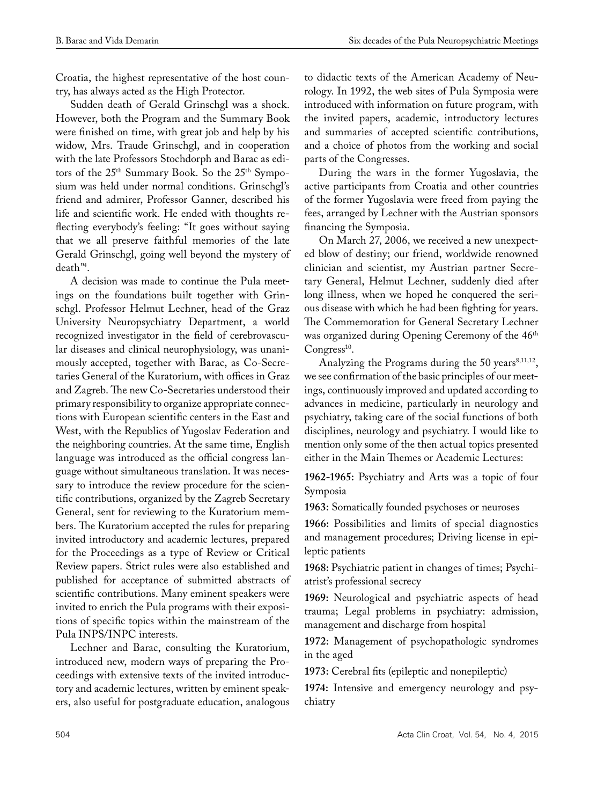Croatia, the highest representative of the host country, has always acted as the High Protector.

Sudden death of Gerald Grinschgl was a shock. However, both the Program and the Summary Book were finished on time, with great job and help by his widow, Mrs. Traude Grinschgl, and in cooperation with the late Professors Stochdorph and Barac as editors of the 25th Summary Book. So the 25th Symposium was held under normal conditions. Grinschgl's friend and admirer, Professor Ganner, described his life and scientific work. He ended with thoughts reflecting everybody's feeling: "It goes without saying that we all preserve faithful memories of the late Gerald Grinschgl, going well beyond the mystery of death"4 .

A decision was made to continue the Pula meetings on the foundations built together with Grinschgl. Professor Helmut Lechner, head of the Graz University Neuropsychiatry Department, a world recognized investigator in the field of cerebrovascular diseases and clinical neurophysiology, was unanimously accepted, together with Barac, as Co-Secretaries General of the Kuratorium, with offices in Graz and Zagreb. The new Co-Secretaries understood their primary responsibility to organize appropriate connections with European scientific centers in the East and West, with the Republics of Yugoslav Federation and the neighboring countries. At the same time, English language was introduced as the official congress language without simultaneous translation. It was necessary to introduce the review procedure for the scientific contributions, organized by the Zagreb Secretary General, sent for reviewing to the Kuratorium members. The Kuratorium accepted the rules for preparing invited introductory and academic lectures, prepared for the Proceedings as a type of Review or Critical Review papers. Strict rules were also established and published for acceptance of submitted abstracts of scientific contributions. Many eminent speakers were invited to enrich the Pula programs with their expositions of specific topics within the mainstream of the Pula INPS/INPC interests.

Lechner and Barac, consulting the Kuratorium, introduced new, modern ways of preparing the Proceedings with extensive texts of the invited introductory and academic lectures, written by eminent speakers, also useful for postgraduate education, analogous

to didactic texts of the American Academy of Neurology. In 1992, the web sites of Pula Symposia were introduced with information on future program, with the invited papers, academic, introductory lectures and summaries of accepted scientific contributions, and a choice of photos from the working and social parts of the Congresses.

During the wars in the former Yugoslavia, the active participants from Croatia and other countries of the former Yugoslavia were freed from paying the fees, arranged by Lechner with the Austrian sponsors financing the Symposia.

On March 27, 2006, we received a new unexpected blow of destiny; our friend, worldwide renowned clinician and scientist, my Austrian partner Secretary General, Helmut Lechner, suddenly died after long illness, when we hoped he conquered the serious disease with which he had been fighting for years. The Commemoration for General Secretary Lechner was organized during Opening Ceremony of the 46<sup>th</sup>  $Congress<sup>10</sup>$ .

Analyzing the Programs during the 50 years $8,11,12$ , we see confirmation of the basic principles of our meetings, continuously improved and updated according to advances in medicine, particularly in neurology and psychiatry, taking care of the social functions of both disciplines, neurology and psychiatry. I would like to mention only some of the then actual topics presented either in the Main Themes or Academic Lectures:

**1962-1965:** Psychiatry and Arts was a topic of four Symposia

**1963:** Somatically founded psychoses or neuroses

**1966:** Possibilities and limits of special diagnostics and management procedures; Driving license in epileptic patients

**1968:** Psychiatric patient in changes of times; Psychiatrist's professional secrecy

**1969:** Neurological and psychiatric aspects of head trauma; Legal problems in psychiatry: admission, management and discharge from hospital

**1972:** Management of psychopathologic syndromes in the aged

**1973:** Cerebral fits (epileptic and nonepileptic)

**1974:** Intensive and emergency neurology and psychiatry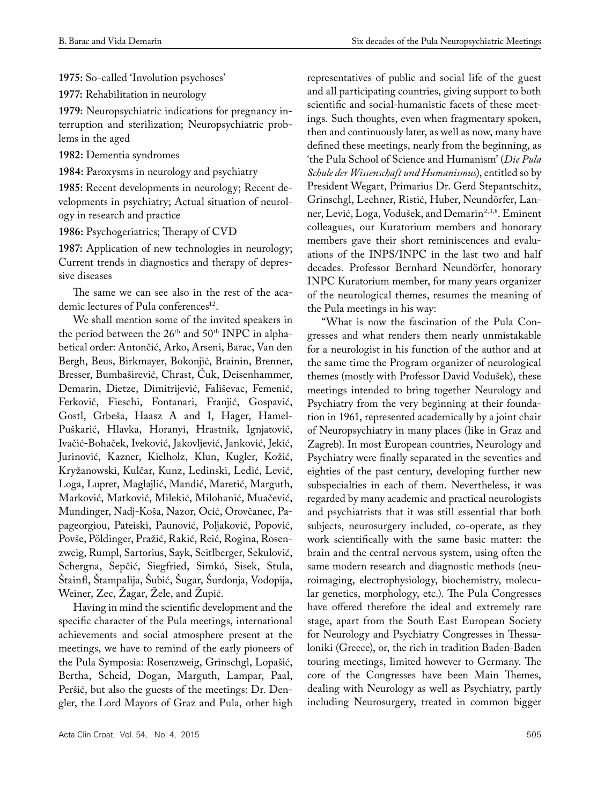**1975:** So-called 'Involution psychoses'

**1977:** Rehabilitation in neurology

**1979:** Neuropsychiatric indications for pregnancy interruption and sterilization; Neuropsychiatric problems in the aged

**1982:** Dementia syndromes

**1984:** Paroxysms in neurology and psychiatry

**1985:** Recent developments in neurology; Recent developments in psychiatry; Actual situation of neurology in research and practice

**1986:** Psychogeriatrics; Therapy of CVD

**1987:** Application of new technologies in neurology; Current trends in diagnostics and therapy of depressive diseases

The same we can see also in the rest of the academic lectures of Pula conferences<sup>12</sup>.

We shall mention some of the invited speakers in the period between the  $26<sup>th</sup>$  and  $50<sup>th</sup>$  INPC in alphabetical order: Antončić, Arko, Arseni, Barac, Van den Bergh, Beus, Birkmayer, Bokonjić, Brainin, Brenner, Bresser, Bumbaširević, Chrast, Ćuk, Deisenhammer, Demarin, Dietze, Dimitrijević, Fališevac, Femenić, Ferković, Fieschi, Fontanari, Franjić, Gospavić, Gostl, Grbeša, Haasz A and I, Hager, Hamel-Puškarić, Hlavka, Horanyi, Hrastnik, Ignjatović, Ivačić-Bohaček, Iveković, Jakovljević, Janković, Jekić, Jurinović, Kazner, Kielholz, Klun, Kugler, Kožić, Kryžanowski, Kulčar, Kunz, Ledinski, Ledić, Lević, Loga, Lupret, Maglajlić, Mandić, Maretić, Marguth, Marković, Matković, Milekić, Milohanić, Muačević, Mundinger, Nadj-Koša, Nazor, Ocić, Orovčanec, Papageorgiou, Pateiski, Paunović, Poljaković, Popović, Povše, Pöldinger, Pražić, Rakić, Reić, Rogina, Rosenzweig, Rumpl, Sartorius, Sayk, Seitlberger, Sekulović, Schergna, Sepčić, Siegfried, Simkó, Sisek, Stula, Štainfl, Štampalija, Šubić, Šugar, Šurdonja, Vodopija, Weiner, Zec, Žagar, Žele, and Župić.

Having in mind the scientific development and the specific character of the Pula meetings, international achievements and social atmosphere present at the meetings, we have to remind of the early pioneers of the Pula Symposia: Rosenzweig, Grinschgl, Lopašić, Bertha, Scheid, Dogan, Marguth, Lampar, Paal, Peršić, but also the guests of the meetings: Dr. Dengler, the Lord Mayors of Graz and Pula, other high

representatives of public and social life of the guest and all participating countries, giving support to both scientific and social-humanistic facets of these meetings. Such thoughts, even when fragmentary spoken, then and continuously later, as well as now, many have defined these meetings, nearly from the beginning, as 'the Pula School of Science and Humanism' (*Die Pula Schule der Wissenschaft und Humanismus*), entitled so by President Wegart, Primarius Dr. Gerd Stepantschitz, Grinschgl, Lechner, Ristić, Huber, Neundörfer, Lanner, Lević, Loga, Vodušek, and Demarin<sup>2,3,8</sup>. Eminent colleagues, our Kuratorium members and honorary members gave their short reminiscences and evaluations of the INPS/INPC in the last two and half decades. Professor Bernhard Neundörfer, honorary INPC Kuratorium member, for many years organizer of the neurological themes, resumes the meaning of the Pula meetings in his way:

"What is now the fascination of the Pula Congresses and what renders them nearly unmistakable for a neurologist in his function of the author and at the same time the Program organizer of neurological themes (mostly with Professor David Vodušek), these meetings intended to bring together Neurology and Psychiatry from the very beginning at their foundation in 1961, represented academically by a joint chair of Neuropsychiatry in many places (like in Graz and Zagreb). In most European countries, Neurology and Psychiatry were finally separated in the seventies and eighties of the past century, developing further new subspecialties in each of them. Nevertheless, it was regarded by many academic and practical neurologists and psychiatrists that it was still essential that both subjects, neurosurgery included, co-operate, as they work scientifically with the same basic matter: the brain and the central nervous system, using often the same modern research and diagnostic methods (neuroimaging, electrophysiology, biochemistry, molecular genetics, morphology, etc.). The Pula Congresses have offered therefore the ideal and extremely rare stage, apart from the South East European Society for Neurology and Psychiatry Congresses in Thessaloniki (Greece), or, the rich in tradition Baden-Baden touring meetings, limited however to Germany. The core of the Congresses have been Main Themes, dealing with Neurology as well as Psychiatry, partly including Neurosurgery, treated in common bigger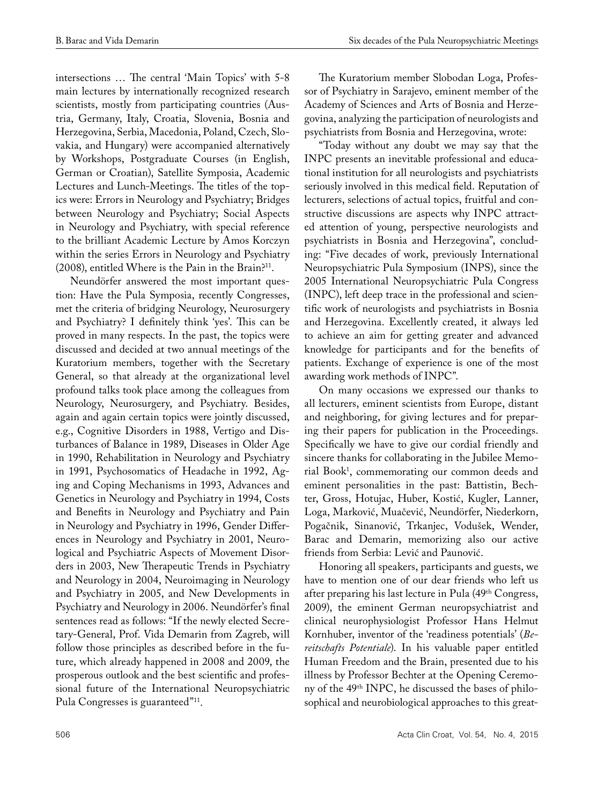intersections … The central 'Main Topics' with 5-8 main lectures by internationally recognized research scientists, mostly from participating countries (Austria, Germany, Italy, Croatia, Slovenia, Bosnia and Herzegovina, Serbia, Macedonia, Poland, Czech, Slovakia, and Hungary) were accompanied alternatively by Workshops, Postgraduate Courses (in English, German or Croatian), Satellite Symposia, Academic Lectures and Lunch-Meetings. The titles of the topics were: Errors in Neurology and Psychiatry; Bridges between Neurology and Psychiatry; Social Aspects in Neurology and Psychiatry, with special reference to the brilliant Academic Lecture by Amos Korczyn within the series Errors in Neurology and Psychiatry (2008), entitled Where is the Pain in the Brain?11.

Neundörfer answered the most important question: Have the Pula Symposia, recently Congresses, met the criteria of bridging Neurology, Neurosurgery and Psychiatry? I definitely think 'yes'. This can be proved in many respects. In the past, the topics were discussed and decided at two annual meetings of the Kuratorium members, together with the Secretary General, so that already at the organizational level profound talks took place among the colleagues from Neurology, Neurosurgery, and Psychiatry. Besides, again and again certain topics were jointly discussed, e.g., Cognitive Disorders in 1988, Vertigo and Disturbances of Balance in 1989, Diseases in Older Age in 1990, Rehabilitation in Neurology and Psychiatry in 1991, Psychosomatics of Headache in 1992, Aging and Coping Mechanisms in 1993, Advances and Genetics in Neurology and Psychiatry in 1994, Costs and Benefits in Neurology and Psychiatry and Pain in Neurology and Psychiatry in 1996, Gender Differences in Neurology and Psychiatry in 2001, Neurological and Psychiatric Aspects of Movement Disorders in 2003, New Therapeutic Trends in Psychiatry and Neurology in 2004, Neuroimaging in Neurology and Psychiatry in 2005, and New Developments in Psychiatry and Neurology in 2006. Neundörfer's final sentences read as follows: "If the newly elected Secretary-General, Prof. Vida Demarin from Zagreb, will follow those principles as described before in the future, which already happened in 2008 and 2009, the prosperous outlook and the best scientific and professional future of the International Neuropsychiatric Pula Congresses is guaranteed"11.

The Kuratorium member Slobodan Loga, Professor of Psychiatry in Sarajevo, eminent member of the Academy of Sciences and Arts of Bosnia and Herzegovina, analyzing the participation of neurologists and psychiatrists from Bosnia and Herzegovina, wrote:

"Today without any doubt we may say that the INPC presents an inevitable professional and educational institution for all neurologists and psychiatrists seriously involved in this medical field. Reputation of lecturers, selections of actual topics, fruitful and constructive discussions are aspects why INPC attracted attention of young, perspective neurologists and psychiatrists in Bosnia and Herzegovina", concluding: "Five decades of work, previously International Neuropsychiatric Pula Symposium (INPS), since the 2005 International Neuropsychiatric Pula Congress (INPC), left deep trace in the professional and scientific work of neurologists and psychiatrists in Bosnia and Herzegovina. Excellently created, it always led to achieve an aim for getting greater and advanced knowledge for participants and for the benefits of patients. Exchange of experience is one of the most awarding work methods of INPC".

On many occasions we expressed our thanks to all lecturers, eminent scientists from Europe, distant and neighboring, for giving lectures and for preparing their papers for publication in the Proceedings. Specifically we have to give our cordial friendly and sincere thanks for collaborating in the Jubilee Memorial Book<sup>1</sup>, commemorating our common deeds and eminent personalities in the past: Battistin, Bechter, Gross, Hotujac, Huber, Kostić, Kugler, Lanner, Loga, Marković, Muačević, Neundörfer, Niederkorn, Pogačnik, Sinanović, Trkanjec, Vodušek, Wender, Barac and Demarin, memorizing also our active friends from Serbia: Lević and Paunović.

Honoring all speakers, participants and guests, we have to mention one of our dear friends who left us after preparing his last lecture in Pula (49th Congress, 2009), the eminent German neuropsychiatrist and clinical neurophysiologist Professor Hans Helmut Kornhuber, inventor of the 'readiness potentials' (*Bereitschafts Potentiale*). In his valuable paper entitled Human Freedom and the Brain, presented due to his illness by Professor Bechter at the Opening Ceremony of the 49th INPC, he discussed the bases of philosophical and neurobiological approaches to this great-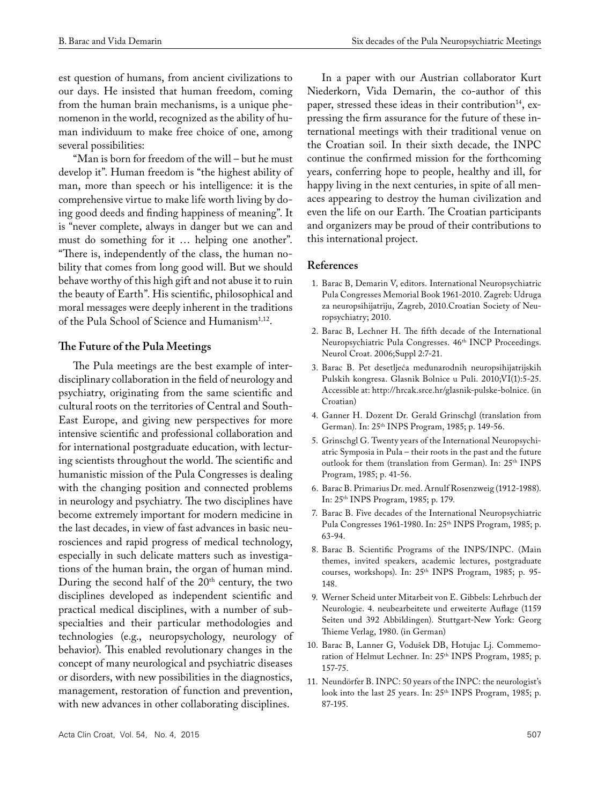est question of humans, from ancient civilizations to our days. He insisted that human freedom, coming from the human brain mechanisms, is a unique phenomenon in the world, recognized as the ability of human individuum to make free choice of one, among several possibilities:

"Man is born for freedom of the will – but he must develop it". Human freedom is "the highest ability of man, more than speech or his intelligence: it is the comprehensive virtue to make life worth living by doing good deeds and finding happiness of meaning". It is "never complete, always in danger but we can and must do something for it … helping one another". "There is, independently of the class, the human nobility that comes from long good will. But we should behave worthy of this high gift and not abuse it to ruin the beauty of Earth". His scientific, philosophical and moral messages were deeply inherent in the traditions of the Pula School of Science and Humanism<sup>1,12</sup>.

### **The Future of the Pula Meetings**

The Pula meetings are the best example of interdisciplinary collaboration in the field of neurology and psychiatry, originating from the same scientific and cultural roots on the territories of Central and South-East Europe, and giving new perspectives for more intensive scientific and professional collaboration and for international postgraduate education, with lecturing scientists throughout the world. The scientific and humanistic mission of the Pula Congresses is dealing with the changing position and connected problems in neurology and psychiatry. The two disciplines have become extremely important for modern medicine in the last decades, in view of fast advances in basic neurosciences and rapid progress of medical technology, especially in such delicate matters such as investigations of the human brain, the organ of human mind. During the second half of the  $20<sup>th</sup>$  century, the two disciplines developed as independent scientific and practical medical disciplines, with a number of subspecialties and their particular methodologies and technologies (e.g., neuropsychology, neurology of behavior). This enabled revolutionary changes in the concept of many neurological and psychiatric diseases or disorders, with new possibilities in the diagnostics, management, restoration of function and prevention, with new advances in other collaborating disciplines.

In a paper with our Austrian collaborator Kurt Niederkorn, Vida Demarin, the co-author of this paper, stressed these ideas in their contribution<sup>14</sup>, expressing the firm assurance for the future of these international meetings with their traditional venue on the Croatian soil. In their sixth decade, the INPC continue the confirmed mission for the forthcoming years, conferring hope to people, healthy and ill, for happy living in the next centuries, in spite of all menaces appearing to destroy the human civilization and even the life on our Earth. The Croatian participants and organizers may be proud of their contributions to this international project.

### **References**

- 1. Barac B, Demarin V, editors. International Neuropsychiatric Pula Congresses Memorial Book 1961-2010. Zagreb: Udruga za neuropsihijatriju, Zagreb, 2010.Croatian Society of Neuropsychiatry; 2010.
- 2. Barac B, Lechner H. The fifth decade of the International Neuropsychiatric Pula Congresses. 46<sup>th</sup> INCP Proceedings. Neurol Croat. 2006;Suppl 2:7-21.
- 3. Barac B. Pet desetljeća međunarodnih neuropsihijatrijskih Pulskih kongresa. Glasnik Bolnice u Puli. 2010;VI(1):5-25. Accessible at: http://hrcak.srce.hr/glasnik-pulske-bolnice. (in Croatian)
- 4. Ganner H. Dozent Dr. Gerald Grinschgl (translation from German). In: 25th INPS Program, 1985; p. 149-56.
- 5. Grinschgl G. Twenty years of the International Neuropsychiatric Symposia in Pula – their roots in the past and the future outlook for them (translation from German). In: 25<sup>th</sup> INPS Program, 1985; p. 41-56.
- 6. Barac B. Primarius Dr. med. Arnulf Rosenzweig (1912-1988). In: 25th INPS Program, 1985; p. 179.
- 7. Barac B. Five decades of the International Neuropsychiatric Pula Congresses 1961-1980. In: 25th INPS Program, 1985; p. 63-94.
- 8. Barac B. Scientific Programs of the INPS/INPC. (Main themes, invited speakers, academic lectures, postgraduate courses, workshops). In: 25th INPS Program, 1985; p. 95- 148.
- 9. Werner Scheid unter Mitarbeit von E. Gibbels: Lehrbuch der Neurologie. 4. neubearbeitete und erweiterte Auflage (1159 Seiten und 392 Abbildingen). Stuttgart-New York: Georg Thieme Verlag, 1980. (in German)
- 10. Barac B, Lanner G, Vodušek DB, Hotujac Lj. Commemoration of Helmut Lechner. In: 25<sup>th</sup> INPS Program, 1985; p. 157-75.
- 11. Neundörfer B. INPC: 50 years of the INPC: the neurologist's look into the last 25 years. In: 25<sup>th</sup> INPS Program, 1985; p. 87-195.